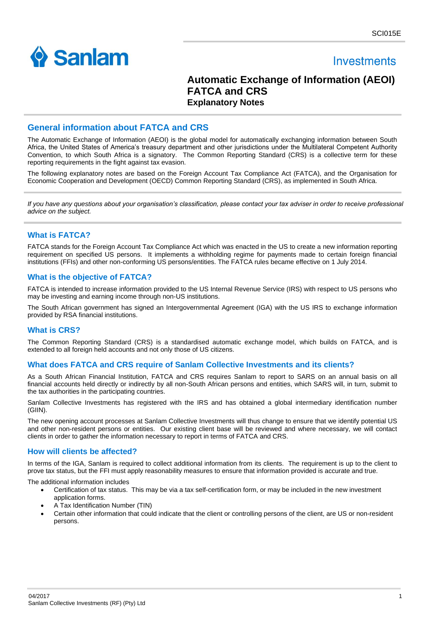

# **Investments**

## **Automatic Exchange of Information (AEOI) FATCA and CRS Explanatory Notes**

### **General information about FATCA and CRS**

The Automatic Exchange of Information (AEOI) is the global model for automatically exchanging information between South Africa, the United States of America's treasury department and other jurisdictions under the Multilateral Competent Authority Convention, to which South Africa is a signatory. The Common Reporting Standard (CRS) is a collective term for these reporting requirements in the fight against tax evasion.

The following explanatory notes are based on the Foreign Account Tax Compliance Act (FATCA), and the Organisation for Economic Cooperation and Development (OECD) Common Reporting Standard (CRS), as implemented in South Africa.

*If you have any questions about your organisation's classification, please contact your tax adviser in order to receive professional advice on the subject.*

### **What is FATCA?**

FATCA stands for the Foreign Account Tax Compliance Act which was enacted in the US to create a new information reporting requirement on specified US persons. It implements a withholding regime for payments made to certain foreign financial institutions (FFIs) and other non-conforming US persons/entities. The FATCA rules became effective on 1 July 2014.

### **What is the objective of FATCA?**

FATCA is intended to increase information provided to the US Internal Revenue Service (IRS) with respect to US persons who may be investing and earning income through non-US institutions.

The South African government has signed an Intergovernmental Agreement (IGA) with the US IRS to exchange information provided by RSA financial institutions.

### **What is CRS?**

The [Common Reporting Standard \(CRS\)](http://www.oecd.org/ctp/exchange-of-tax-information/standard-for-automatic-exchange-of-financial-account-information-for-tax-matters-9789264216525-en.htm) is a standardised automatic exchange model, which builds on FATCA, and is extended to all foreign held accounts and not only those of US citizens.

### **What does FATCA and CRS require of Sanlam Collective Investments and its clients?**

As a South African Financial Institution, FATCA and CRS requires Sanlam to report to SARS on an annual basis on all financial accounts held directly or indirectly by all non-South African persons and entities, which SARS will, in turn, submit to the tax authorities in the participating countries.

Sanlam Collective Investments has registered with the IRS and has obtained a global intermediary identification number (GIIN).

The new opening account processes at Sanlam Collective Investments will thus change to ensure that we identify potential US and other non-resident persons or entities. Our existing client base will be reviewed and where necessary, we will contact clients in order to gather the information necessary to report in terms of FATCA and CRS.

### **How will clients be affected?**

In terms of the IGA, Sanlam is required to collect additional information from its clients. The requirement is up to the client to prove tax status, but the FFI must apply reasonability measures to ensure that information provided is accurate and true.

The additional information includes

- Certification of tax status. This may be via a tax self-certification form, or may be included in the new investment application forms.
- A Tax Identification Number (TIN)
- Certain other information that could indicate that the client or controlling persons of the client, are US or non-resident persons.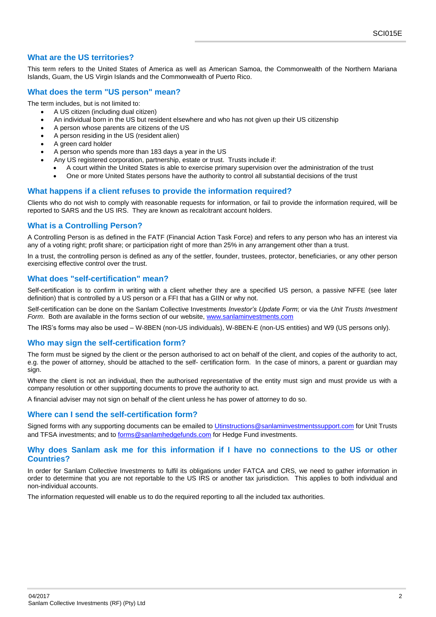### **What are the US territories?**

This term refers to the United States of America as well as American Samoa, the Commonwealth of the Northern Mariana Islands, Guam, the US Virgin Islands and the Commonwealth of Puerto Rico.

### **What does the term "US person" mean?**

The term includes, but is not limited to:

- A US citizen (including dual citizen)
- An individual born in the US but resident elsewhere and who has not given up their US citizenship
- A person whose parents are citizens of the US
- A person residing in the US (resident alien)
- A green card holder
- A person who spends more than 183 days a year in the US
- Any US registered corporation, partnership, estate or trust. Trusts include if:
	- A court within the United States is able to exercise primary supervision over the administration of the trust
	- One or more United States persons have the authority to control all substantial decisions of the trust

### **What happens if a client refuses to provide the information required?**

Clients who do not wish to comply with reasonable requests for information, or fail to provide the information required, will be reported to SARS and the US IRS. They are known as recalcitrant account holders.

### **What is a Controlling Person?**

A Controlling Person is as defined in the FATF (Financial Action Task Force) and refers to any person who has an interest via any of a voting right; profit share; or participation right of more than 25% in any arrangement other than a trust.

In a trust, the controlling person is defined as any of the settler, founder, trustees, protector, beneficiaries, or any other person exercising effective control over the trust.

### **What does "self-certification" mean?**

Self-certification is to confirm in writing with a client whether they are a specified US person, a passive NFFE (see later definition) that is controlled by a US person or a FFI that has a GIIN or why not.

Self-certification can be done on the Sanlam Collective Investments *Investor's Update Form*; or via the *Unit Trusts Investment Form*. Both are available in the forms section of our website, [www.sanlaminvestments.com](http://www.sanlaminvestments.com/)

The IRS's forms may also be used – W-8BEN (non-US individuals), W-8BEN-E (non-US entities) and W9 (US persons only).

### **Who may sign the self-certification form?**

The form must be signed by the client or the person authorised to act on behalf of the client, and copies of the authority to act, e.g. the power of attorney, should be attached to the self- certification form. In the case of minors, a parent or guardian may sian.

Where the client is not an individual, then the authorised representative of the entity must sign and must provide us with a company resolution or other supporting documents to prove the authority to act.

A financial adviser may not sign on behalf of the client unless he has power of attorney to do so.

### **Where can I send the self-certification form?**

Signed forms with any supporting documents can be emailed to [Utinstructions@sanlaminvestmentssupport.com](mailto:Utinstructions@sanlaminvestmentssupport.com) for Unit Trusts and TFSA investments; and to [forms@sanlamhedgefunds.com](mailto:forms@sanlamhedgefunds.com) for Hedge Fund investments.

#### **Why does Sanlam ask me for this information if I have no connections to the US or other Countries?**

In order for Sanlam Collective Investments to fulfil its obligations under FATCA and CRS, we need to gather information in order to determine that you are not reportable to the US IRS or another tax jurisdiction. This applies to both individual and non-individual accounts.

The information requested will enable us to do the required reporting to all the included tax authorities.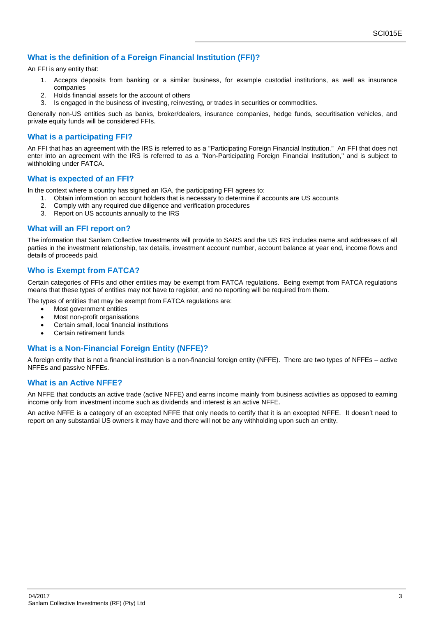### **What is the definition of a Foreign Financial Institution (FFI)?**

An FFI is any entity that:

- 1. Accepts deposits from banking or a similar business, for example custodial institutions, as well as insurance companies
- 2. Holds financial assets for the account of others
- 3. Is engaged in the business of investing, reinvesting, or trades in securities or commodities.

Generally non-US entities such as banks, broker/dealers, insurance companies, hedge funds, securitisation vehicles, and private equity funds will be considered FFIs.

### **What is a participating FFI?**

An FFI that has an agreement with the IRS is referred to as a "Participating Foreign Financial Institution." An FFI that does not enter into an agreement with the IRS is referred to as a "Non-Participating Foreign Financial Institution," and is subject to withholding under FATCA.

#### **What is expected of an FFI?**

In the context where a country has signed an IGA, the participating FFI agrees to:

- 1. Obtain information on account holders that is necessary to determine if accounts are US accounts
- 2. Comply with any required due diligence and verification procedures
- 3. Report on US accounts annually to the IRS

#### **What will an FFI report on?**

The information that Sanlam Collective Investments will provide to SARS and the US IRS includes name and addresses of all parties in the investment relationship, tax details, investment account number, account balance at year end, income flows and details of proceeds paid.

### **Who is Exempt from FATCA?**

Certain categories of FFIs and other entities may be exempt from FATCA regulations. Being exempt from FATCA regulations means that these types of entities may not have to register, and no reporting will be required from them.

The types of entities that may be exempt from FATCA regulations are:

- Most government entities
- Most non-profit organisations
- Certain small, local financial institutions
- **Certain retirement funds**

### **What is a Non-Financial Foreign Entity (NFFE)?**

A foreign entity that is not a financial institution is a non-financial foreign entity (NFFE). There are two types of NFFEs – active NFFEs and passive NFFEs.

### **What is an Active NFFE?**

An NFFE that conducts an active trade (active NFFE) and earns income mainly from business activities as opposed to earning income only from investment income such as dividends and interest is an active NFFE.

An active NFFE is a category of an excepted NFFE that only needs to certify that it is an excepted NFFE. It doesn't need to report on any substantial US owners it may have and there will not be any withholding upon such an entity.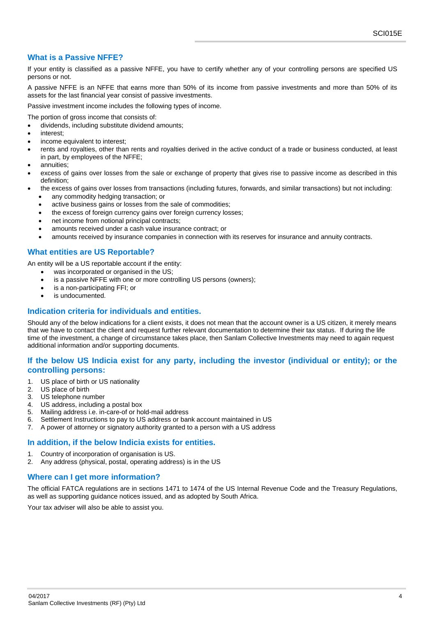### **What is a Passive NFFE?**

If your entity is classified as a passive NFFE, you have to certify whether any of your controlling persons are specified US persons or not.

A passive NFFE is an NFFE that earns more than 50% of its income from passive investments and more than 50% of its assets for the last financial year consist of passive investments.

Passive investment income includes the following types of income.

The portion of gross income that consists of:

- dividends, including substitute dividend amounts;
- interest;
- income equivalent to interest;
- rents and royalties, other than rents and royalties derived in the active conduct of a trade or business conducted, at least in part, by employees of the NFFE;
- annuities;
- excess of gains over losses from the sale or exchange of property that gives rise to passive income as described in this definition;
- the excess of gains over losses from transactions (including futures, forwards, and similar transactions) but not including:
	- any commodity hedging transaction; or
	- active business gains or losses from the sale of commodities;
	- the excess of foreign currency gains over foreign currency losses;
	- net income from notional principal contracts;
	- amounts received under a cash value insurance contract; or
	- amounts received by insurance companies in connection with its reserves for insurance and annuity contracts.

### **What entities are US Reportable?**

An entity will be a US reportable account if the entity:

- was incorporated or organised in the US;
- is a passive NFFE with one or more controlling US persons (owners);
- is a non-participating FFI; or
- is undocumented.

### **Indication criteria for individuals and entities.**

Should any of the below indications for a client exists, it does not mean that the account owner is a US citizen, it merely means that we have to contact the client and request further relevant documentation to determine their tax status. If during the life time of the investment, a change of circumstance takes place, then Sanlam Collective Investments may need to again request additional information and/or supporting documents.

### **If the below US Indicia exist for any party, including the investor (individual or entity); or the controlling persons:**

- 1. US place of birth or US nationality
- 2. US place of birth
- 3. US telephone number
- 4. US address, including a postal box
- 5. Mailing address i.e. in-care-of or hold-mail address
- 6. Settlement Instructions to pay to US address or bank account maintained in US
- 7. A power of attorney or signatory authority granted to a person with a US address

### **In addition, if the below Indicia exists for entities.**

- 1. Country of incorporation of organisation is US.
- 2. Any address (physical, postal, operating address) is in the US

### **Where can I get more information?**

The official FATCA regulations are in sections 1471 to 1474 of the US Internal Revenue Code and the Treasury Regulations, as well as supporting guidance notices issued, and as adopted by South Africa.

Your tax adviser will also be able to assist you.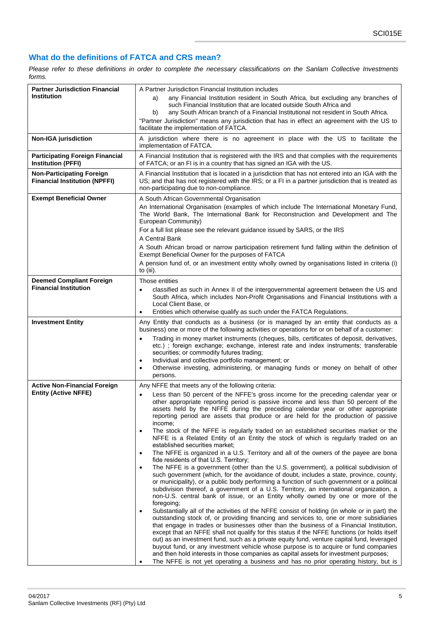## **What do the definitions of FATCA and CRS mean?**

*Please refer to these definitions in order to complete the necessary classifications on the Sanlam Collective Investments forms.*

| A Partner Jurisdiction Financial Institution includes<br>any Financial Institution resident in South Africa, but excluding any branches of<br>a)<br>such Financial Institution that are located outside South Africa and<br>any South African branch of a Financial Institutional not resident in South Africa.<br>b)<br>"Partner Jurisdiction" means any jurisdiction that has in effect an agreement with the US to<br>facilitate the implementation of FATCA.                                                                                                                                                                                                                                                                                                                                                                                                                                                                                                                                                                                                                                                                                                                                                                                                                                                                                                                                                                                                                                                                                                                                                                                                                                                                                                                                                                                                                                                                                                              |
|-------------------------------------------------------------------------------------------------------------------------------------------------------------------------------------------------------------------------------------------------------------------------------------------------------------------------------------------------------------------------------------------------------------------------------------------------------------------------------------------------------------------------------------------------------------------------------------------------------------------------------------------------------------------------------------------------------------------------------------------------------------------------------------------------------------------------------------------------------------------------------------------------------------------------------------------------------------------------------------------------------------------------------------------------------------------------------------------------------------------------------------------------------------------------------------------------------------------------------------------------------------------------------------------------------------------------------------------------------------------------------------------------------------------------------------------------------------------------------------------------------------------------------------------------------------------------------------------------------------------------------------------------------------------------------------------------------------------------------------------------------------------------------------------------------------------------------------------------------------------------------------------------------------------------------------------------------------------------------|
| A jurisdiction where there is no agreement in place with the US to facilitate the<br>implementation of FATCA.                                                                                                                                                                                                                                                                                                                                                                                                                                                                                                                                                                                                                                                                                                                                                                                                                                                                                                                                                                                                                                                                                                                                                                                                                                                                                                                                                                                                                                                                                                                                                                                                                                                                                                                                                                                                                                                                 |
| A Financial Institution that is registered with the IRS and that complies with the requirements<br>of FATCA; or an FI is in a country that has signed an IGA with the US.                                                                                                                                                                                                                                                                                                                                                                                                                                                                                                                                                                                                                                                                                                                                                                                                                                                                                                                                                                                                                                                                                                                                                                                                                                                                                                                                                                                                                                                                                                                                                                                                                                                                                                                                                                                                     |
| A Financial Institution that is located in a jurisdiction that has not entered into an IGA with the<br>US; and that has not registered with the IRS; or a FI in a partner jurisdiction that is treated as<br>non-participating due to non-compliance.                                                                                                                                                                                                                                                                                                                                                                                                                                                                                                                                                                                                                                                                                                                                                                                                                                                                                                                                                                                                                                                                                                                                                                                                                                                                                                                                                                                                                                                                                                                                                                                                                                                                                                                         |
| A South African Governmental Organisation<br>An International Organisation (examples of which include The International Monetary Fund,<br>The World Bank, The International Bank for Reconstruction and Development and The<br>European Community)<br>For a full list please see the relevant guidance issued by SARS, or the IRS<br>A Central Bank<br>A South African broad or narrow participation retirement fund falling within the definition of<br>Exempt Beneficial Owner for the purposes of FATCA<br>A pension fund of, or an investment entity wholly owned by organisations listed in criteria (i)                                                                                                                                                                                                                                                                                                                                                                                                                                                                                                                                                                                                                                                                                                                                                                                                                                                                                                                                                                                                                                                                                                                                                                                                                                                                                                                                                                 |
| to (iii).                                                                                                                                                                                                                                                                                                                                                                                                                                                                                                                                                                                                                                                                                                                                                                                                                                                                                                                                                                                                                                                                                                                                                                                                                                                                                                                                                                                                                                                                                                                                                                                                                                                                                                                                                                                                                                                                                                                                                                     |
| Those entities<br>classified as such in Annex II of the intergovernmental agreement between the US and<br>South Africa, which includes Non-Profit Organisations and Financial Institutions with a<br>Local Client Base, or<br>Entities which otherwise qualify as such under the FATCA Regulations.<br>$\bullet$                                                                                                                                                                                                                                                                                                                                                                                                                                                                                                                                                                                                                                                                                                                                                                                                                                                                                                                                                                                                                                                                                                                                                                                                                                                                                                                                                                                                                                                                                                                                                                                                                                                              |
| Any Entity that conducts as a business (or is managed by an entity that conducts as a<br>business) one or more of the following activities or operations for or on behalf of a customer:                                                                                                                                                                                                                                                                                                                                                                                                                                                                                                                                                                                                                                                                                                                                                                                                                                                                                                                                                                                                                                                                                                                                                                                                                                                                                                                                                                                                                                                                                                                                                                                                                                                                                                                                                                                      |
| Trading in money market instruments (cheques, bills, certificates of deposit, derivatives,<br>$\bullet$<br>etc.); foreign exchange; exchange, interest rate and index instruments; transferable<br>securities; or commodity futures trading;<br>Individual and collective portfolio management; or<br>$\bullet$<br>Otherwise investing, administering, or managing funds or money on behalf of other<br>٠<br>persons.                                                                                                                                                                                                                                                                                                                                                                                                                                                                                                                                                                                                                                                                                                                                                                                                                                                                                                                                                                                                                                                                                                                                                                                                                                                                                                                                                                                                                                                                                                                                                         |
| Any NFFE that meets any of the following criteria:<br>Less than 50 percent of the NFFE's gross income for the preceding calendar year or<br>other appropriate reporting period is passive income and less than 50 percent of the<br>assets held by the NFFE during the preceding calendar year or other appropriate<br>reporting period are assets that produce or are held for the production of passive<br>income:<br>The stock of the NFFE is regularly traded on an established securities market or the<br>$\bullet$<br>NFFE is a Related Entity of an Entity the stock of which is regularly traded on an<br>established securities market:<br>The NFFE is organized in a U.S. Territory and all of the owners of the payee are bona<br>$\bullet$<br>fide residents of that U.S. Territory;<br>The NFFE is a government (other than the U.S. government), a political subdivision of<br>$\bullet$<br>such government (which, for the avoidance of doubt, includes a state, province, county,<br>or municipality), or a public body performing a function of such government or a political<br>subdivision thereof, a government of a U.S. Territory, an international organization, a<br>non-U.S. central bank of issue, or an Entity wholly owned by one or more of the<br>foregoing;<br>Substantially all of the activities of the NFFE consist of holding (in whole or in part) the<br>$\bullet$<br>outstanding stock of, or providing financing and services to, one or more subsidiaries<br>that engage in trades or businesses other than the business of a Financial Institution,<br>except that an NFFE shall not qualify for this status if the NFFE functions (or holds itself<br>out) as an investment fund, such as a private equity fund, venture capital fund, leveraged<br>buyout fund, or any investment vehicle whose purpose is to acquire or fund companies<br>and then hold interests in those companies as capital assets for investment purposes; |
|                                                                                                                                                                                                                                                                                                                                                                                                                                                                                                                                                                                                                                                                                                                                                                                                                                                                                                                                                                                                                                                                                                                                                                                                                                                                                                                                                                                                                                                                                                                                                                                                                                                                                                                                                                                                                                                                                                                                                                               |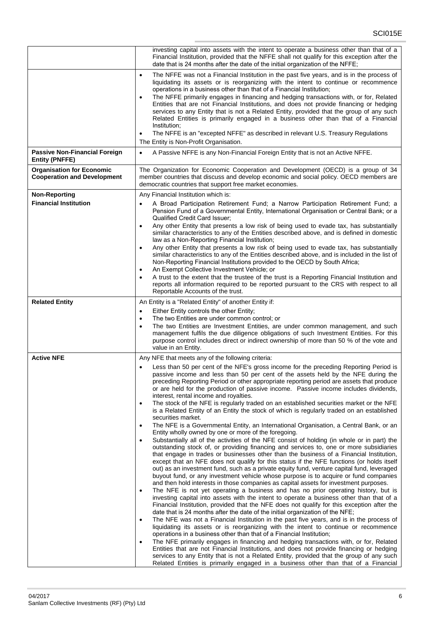|                                                                        | investing capital into assets with the intent to operate a business other than that of a<br>Financial Institution, provided that the NFFE shall not qualify for this exception after the<br>date that is 24 months after the date of the initial organization of the NFFE;                                                                                                                                                                                                                                                                                                                                                                                                                                                                                                  |
|------------------------------------------------------------------------|-----------------------------------------------------------------------------------------------------------------------------------------------------------------------------------------------------------------------------------------------------------------------------------------------------------------------------------------------------------------------------------------------------------------------------------------------------------------------------------------------------------------------------------------------------------------------------------------------------------------------------------------------------------------------------------------------------------------------------------------------------------------------------|
|                                                                        | The NFFE was not a Financial Institution in the past five years, and is in the process of<br>$\bullet$<br>liquidating its assets or is reorganizing with the intent to continue or recommence<br>operations in a business other than that of a Financial Institution;<br>The NFFE primarily engages in financing and hedging transactions with, or for, Related<br>$\bullet$<br>Entities that are not Financial Institutions, and does not provide financing or hedging<br>services to any Entity that is not a Related Entity, provided that the group of any such<br>Related Entities is primarily engaged in a business other than that of a Financial<br>Institution;<br>The NFFE is an "excepted NFFE" as described in relevant U.S. Treasury Regulations<br>$\bullet$ |
|                                                                        | The Entity is Non-Profit Organisation.                                                                                                                                                                                                                                                                                                                                                                                                                                                                                                                                                                                                                                                                                                                                      |
| <b>Passive Non-Financial Foreign</b><br><b>Entity (PNFFE)</b>          | A Passive NFFE is any Non-Financial Foreign Entity that is not an Active NFFE.<br>$\bullet$                                                                                                                                                                                                                                                                                                                                                                                                                                                                                                                                                                                                                                                                                 |
| <b>Organisation for Economic</b><br><b>Cooperation and Development</b> | The Organization for Economic Cooperation and Development (OECD) is a group of 34<br>member countries that discuss and develop economic and social policy. OECD members are<br>democratic countries that support free market economies.                                                                                                                                                                                                                                                                                                                                                                                                                                                                                                                                     |
| <b>Non-Reporting</b>                                                   | Any Financial Institution which is:                                                                                                                                                                                                                                                                                                                                                                                                                                                                                                                                                                                                                                                                                                                                         |
| <b>Financial Institution</b>                                           | A Broad Participation Retirement Fund; a Narrow Participation Retirement Fund; a<br>$\bullet$<br>Pension Fund of a Governmental Entity, International Organisation or Central Bank; or a<br>Qualified Credit Card Issuer;                                                                                                                                                                                                                                                                                                                                                                                                                                                                                                                                                   |
|                                                                        | Any other Entity that presents a low risk of being used to evade tax, has substantially<br>$\bullet$<br>similar characteristics to any of the Entities described above, and is defined in domestic<br>law as a Non-Reporting Financial Institution;                                                                                                                                                                                                                                                                                                                                                                                                                                                                                                                         |
|                                                                        | Any other Entity that presents a low risk of being used to evade tax, has substantially<br>$\bullet$<br>similar characteristics to any of the Entities described above, and is included in the list of<br>Non-Reporting Financial Institutions provided to the OECD by South Africa;<br>An Exempt Collective Investment Vehicle; or<br>$\bullet$                                                                                                                                                                                                                                                                                                                                                                                                                            |
|                                                                        | A trust to the extent that the trustee of the trust is a Reporting Financial Institution and<br>reports all information required to be reported pursuant to the CRS with respect to all<br>Reportable Accounts of the trust.                                                                                                                                                                                                                                                                                                                                                                                                                                                                                                                                                |
| <b>Related Entity</b>                                                  | An Entity is a "Related Entity" of another Entity if:                                                                                                                                                                                                                                                                                                                                                                                                                                                                                                                                                                                                                                                                                                                       |
|                                                                        | Either Entity controls the other Entity;<br>$\bullet$<br>The two Entities are under common control; or<br>$\bullet$<br>The two Entities are Investment Entities, are under common management, and such<br>٠<br>management fulfils the due diligence obligations of such Investment Entities. For this<br>purpose control includes direct or indirect ownership of more than 50 % of the vote and<br>value in an Entity.                                                                                                                                                                                                                                                                                                                                                     |
| <b>Active NFE</b>                                                      | Any NFE that meets any of the following criteria:                                                                                                                                                                                                                                                                                                                                                                                                                                                                                                                                                                                                                                                                                                                           |
|                                                                        | Less than 50 per cent of the NFE's gross income for the preceding Reporting Period is<br>$\bullet$<br>passive income and less than 50 per cent of the assets held by the NFE during the<br>preceding Reporting Period or other appropriate reporting period are assets that produce<br>or are held for the production of passive income. Passive income includes dividends,<br>interest, rental income and royalties.<br>The stock of the NFE is regularly traded on an established securities market or the NFE<br>$\bullet$                                                                                                                                                                                                                                               |
|                                                                        | is a Related Entity of an Entity the stock of which is regularly traded on an established<br>securities market.<br>The NFE is a Governmental Entity, an International Organisation, a Central Bank, or an<br>$\bullet$                                                                                                                                                                                                                                                                                                                                                                                                                                                                                                                                                      |
|                                                                        | Entity wholly owned by one or more of the foregoing.                                                                                                                                                                                                                                                                                                                                                                                                                                                                                                                                                                                                                                                                                                                        |
|                                                                        | Substantially all of the activities of the NFE consist of holding (in whole or in part) the<br>$\bullet$<br>outstanding stock of, or providing financing and services to, one or more subsidiaries<br>that engage in trades or businesses other than the business of a Financial Institution,<br>except that an NFE does not qualify for this status if the NFE functions (or holds itself<br>out) as an investment fund, such as a private equity fund, venture capital fund, leveraged<br>buyout fund, or any investment vehicle whose purpose is to acquire or fund companies                                                                                                                                                                                            |
|                                                                        | and then hold interests in those companies as capital assets for investment purposes.<br>The NFE is not yet operating a business and has no prior operating history, but is<br>$\bullet$                                                                                                                                                                                                                                                                                                                                                                                                                                                                                                                                                                                    |
|                                                                        | investing capital into assets with the intent to operate a business other than that of a<br>Financial Institution, provided that the NFE does not qualify for this exception after the<br>date that is 24 months after the date of the initial organization of the NFE;                                                                                                                                                                                                                                                                                                                                                                                                                                                                                                     |
|                                                                        | The NFE was not a Financial Institution in the past five years, and is in the process of<br>$\bullet$<br>liquidating its assets or is reorganizing with the intent to continue or recommence                                                                                                                                                                                                                                                                                                                                                                                                                                                                                                                                                                                |
|                                                                        | operations in a business other than that of a Financial Institution;<br>The NFE primarily engages in financing and hedging transactions with, or for, Related<br>$\bullet$<br>Entities that are not Financial Institutions, and does not provide financing or hedging<br>services to any Entity that is not a Related Entity, provided that the group of any such                                                                                                                                                                                                                                                                                                                                                                                                           |
|                                                                        | Related Entities is primarily engaged in a business other than that of a Financial                                                                                                                                                                                                                                                                                                                                                                                                                                                                                                                                                                                                                                                                                          |